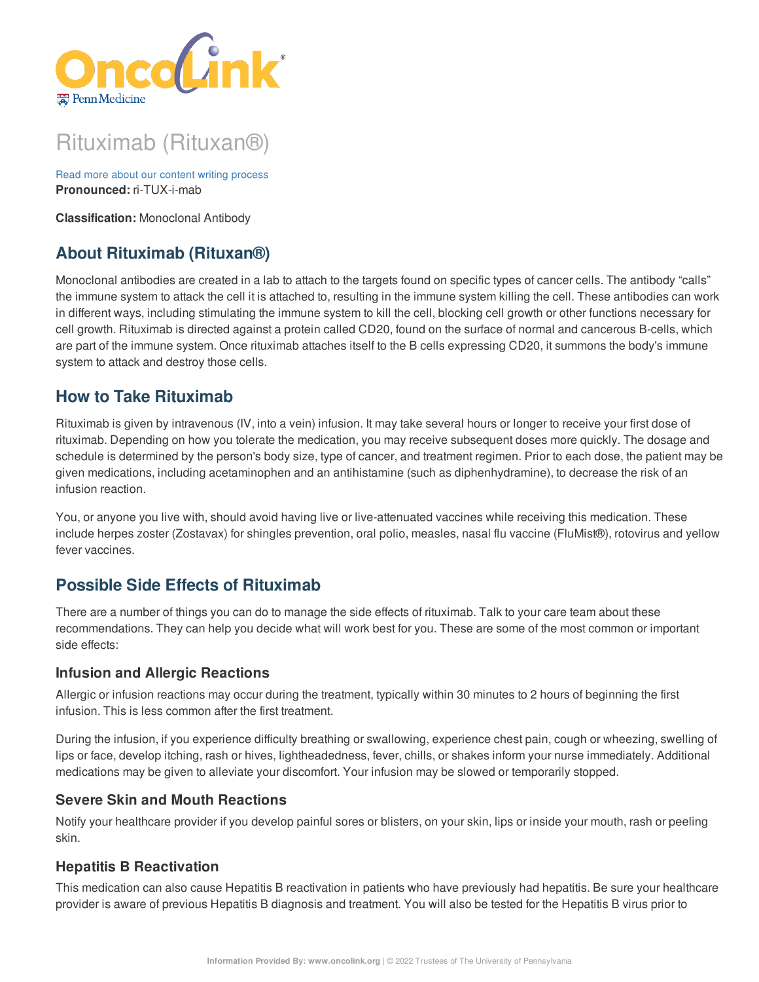

# Rituximab (Rituxan®)

Read more about our content writing [process](https://www.oncolink.org/chemo-printer/20961?theme=oncolink/about/content) **Pronounced:** ri-TUX-i-mab

**Classification:** Monoclonal Antibody

# **About Rituximab (Rituxan®)**

Monoclonal antibodies are created in a lab to attach to the targets found on specific types of cancer cells. The antibody "calls" the immune system to attack the cell it is attached to, resulting in the immune system killing the cell. These antibodies can work in different ways, including stimulating the immune system to kill the cell, blocking cell growth or other functions necessary for cell growth. Rituximab is directed against a protein called CD20, found on the surface of normal and cancerous B-cells, which are part of the immune system. Once rituximab attaches itself to the B cells expressing CD20, it summons the body's immune system to attack and destroy those cells.

# **How to Take Rituximab**

Rituximab is given by intravenous (IV, into a vein) infusion. It may take several hours or longer to receive your first dose of rituximab. Depending on how you tolerate the medication, you may receive subsequent doses more quickly. The dosage and schedule is determined by the person's body size, type of cancer, and treatment regimen. Prior to each dose, the patient may be given medications, including acetaminophen and an antihistamine (such as diphenhydramine), to decrease the risk of an infusion reaction.

You, or anyone you live with, should avoid having live or live-attenuated vaccines while receiving this medication. These include herpes zoster (Zostavax) for shingles prevention, oral polio, measles, nasal flu vaccine (FluMist®), rotovirus and yellow fever vaccines.

# **Possible Side Effects of Rituximab**

There are a number of things you can do to manage the side effects of rituximab. Talk to your care team about these recommendations. They can help you decide what will work best for you. These are some of the most common or important side effects:

### **Infusion and Allergic Reactions**

Allergic or infusion reactions may occur during the treatment, typically within 30 minutes to 2 hours of beginning the first infusion. This is less common after the first treatment.

During the infusion, if you experience difficulty breathing or swallowing, experience chest pain, cough or wheezing, swelling of lips or face, develop itching, rash or hives, lightheadedness, fever, chills, or shakes inform your nurse immediately. Additional medications may be given to alleviate your discomfort. Your infusion may be slowed or temporarily stopped.

### **Severe Skin and Mouth Reactions**

Notify your healthcare provider if you develop painful sores or blisters, on your skin, lips or inside your mouth, rash or peeling skin.

# **Hepatitis B Reactivation**

This medication can also cause Hepatitis B reactivation in patients who have previously had hepatitis. Be sure your healthcare provider is aware of previous Hepatitis B diagnosis and treatment. You will also be tested for the Hepatitis B virus prior to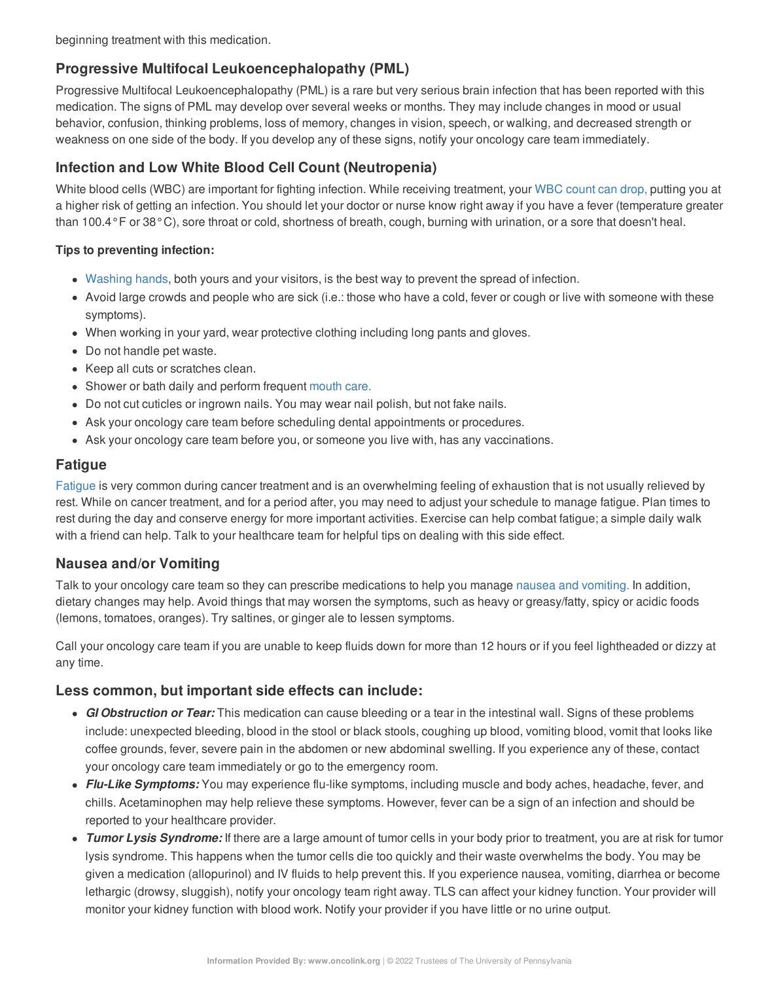beginning treatment with this medication.

# **Progressive Multifocal Leukoencephalopathy (PML)**

Progressive Multifocal Leukoencephalopathy (PML) is a rare but very serious brain infection that has been reported with this medication. The signs of PML may develop over several weeks or months. They may include changes in mood or usual behavior, confusion, thinking problems, loss of memory, changes in vision, speech, or walking, and decreased strength or weakness on one side of the body. If you develop any of these signs, notify your oncology care team immediately.

# **Infection and Low White Blood Cell Count (Neutropenia)**

White blood cells (WBC) are important for fighting infection. While receiving treatment, your WBC [count](https://www.oncolink.org/chemo-printer/20961?theme=oncolink/support/side-effects/low-blood-counts/neutropenia) can drop, putting you at a higher risk of getting an infection. You should let your doctor or nurse know right away if you have a fever (temperature greater than 100.4°F or 38°C), sore throat or cold, shortness of breath, cough, burning with urination, or a sore that doesn't heal.

#### **Tips to preventing infection:**

- [Washing](https://www.oncolink.org/chemo-printer/20961?theme=oncolink/cancer-treatment/hospital-helpers/hand-hygiene-hand-washing) hands, both yours and your visitors, is the best way to prevent the spread of infection.
- Avoid large crowds and people who are sick (i.e.: those who have a cold, fever or cough or live with someone with these symptoms).
- When working in your yard, wear protective clothing including long pants and gloves.
- Do not handle pet waste.
- Keep all cuts or scratches clean.
- Shower or bath daily and perform frequent [mouth](https://www.oncolink.org/chemo-printer/20961?theme=oncolink/support/side-effects/gastrointestinal-side-effects/mucositis/mucositis-mouth-sores-oral-care-tip-sheet) care.
- Do not cut cuticles or ingrown nails. You may wear nail polish, but not fake nails.
- Ask your oncology care team before scheduling dental appointments or procedures.
- Ask your oncology care team before you, or someone you live with, has any vaccinations.

### **Fatigue**

[Fatigue](https://www.oncolink.org/chemo-printer/20961?theme=oncolink/support/side-effects/other-side-effects/fatigue-and-cancer/managing-fatigue) is very common during cancer treatment and is an overwhelming feeling of exhaustion that is not usually relieved by rest. While on cancer treatment, and for a period after, you may need to adjust your schedule to manage fatigue. Plan times to rest during the day and conserve energy for more important activities. Exercise can help combat fatigue; a simple daily walk with a friend can help. Talk to your healthcare team for helpful tips on dealing with this side effect.

# **Nausea and/or Vomiting**

Talk to your oncology care team so they can prescribe medications to help you manage nausea and [vomiting.](https://www.oncolink.org/chemo-printer/20961?theme=oncolink/support/side-effects/gastrointestinal-side-effects/nausea-and-vomiting) In addition, dietary changes may help. Avoid things that may worsen the symptoms, such as heavy or greasy/fatty, spicy or acidic foods (lemons, tomatoes, oranges). Try saltines, or ginger ale to lessen symptoms.

Call your oncology care team if you are unable to keep fluids down for more than 12 hours or if you feel lightheaded or dizzy at any time.

### **Less common, but important side effects can include:**

- *GI Obstruction or Tear:* This medication can cause bleeding or a tear in the intestinal wall. Signs of these problems include: unexpected bleeding, blood in the stool or black stools, coughing up blood, vomiting blood, vomit that looks like coffee grounds, fever, severe pain in the abdomen or new abdominal swelling. If you experience any of these, contact your oncology care team immediately or go to the emergency room.
- *Flu-Like Symptoms:* You may experience flu-like symptoms, including muscle and body aches, headache, fever, and chills. Acetaminophen may help relieve these symptoms. However, fever can be a sign of an infection and should be reported to your healthcare provider.
- *Tumor Lysis Syndrome:* If there are a large amount of tumor cells in your body prior to treatment, you are at risk for tumor lysis syndrome. This happens when the tumor cells die too quickly and their waste overwhelms the body. You may be given a medication (allopurinol) and IV fluids to help prevent this. If you experience nausea, vomiting, diarrhea or become lethargic (drowsy, sluggish), notify your oncology team right away. TLS can affect your kidney function. Your provider will monitor your kidney function with blood work. Notify your provider if you have little or no urine output.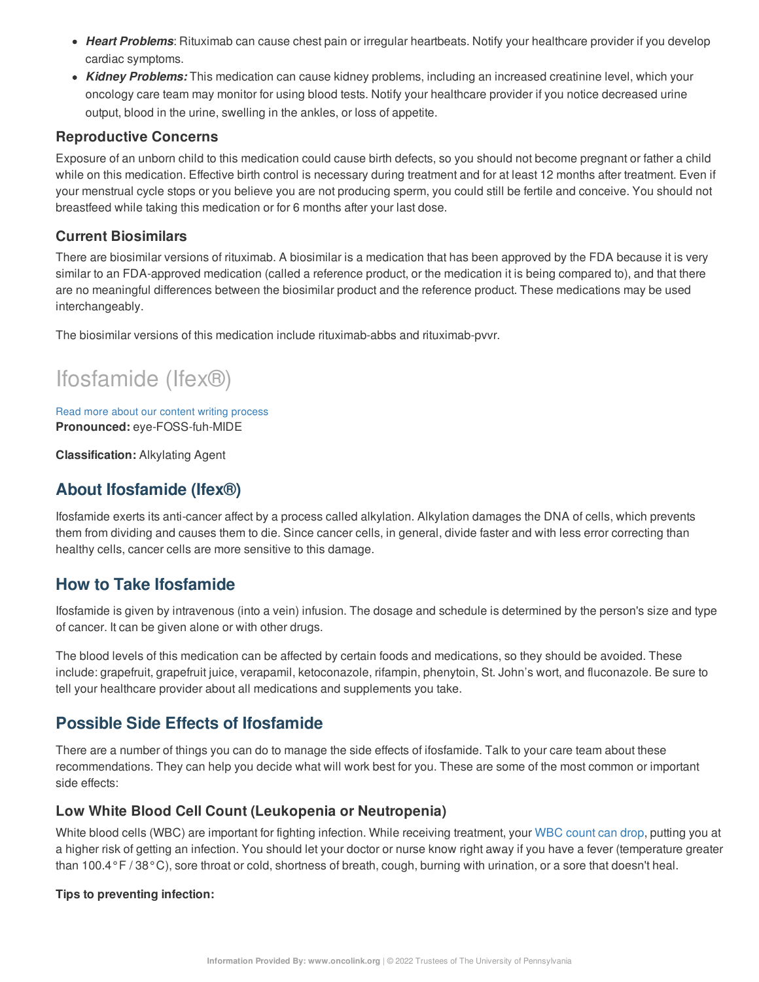- *Heart Problems*: Rituximab can cause chest pain or irregular heartbeats. Notify your healthcare provider if you develop cardiac symptoms.
- *Kidney Problems:* This medication can cause kidney problems, including an increased creatinine level, which your oncology care team may monitor for using blood tests. Notify your healthcare provider if you notice decreased urine output, blood in the urine, swelling in the ankles, or loss of appetite.

### **Reproductive Concerns**

Exposure of an unborn child to this medication could cause birth defects, so you should not become pregnant or father a child while on this medication. Effective birth control is necessary during treatment and for at least 12 months after treatment. Even if your menstrual cycle stops or you believe you are not producing sperm, you could still be fertile and conceive. You should not breastfeed while taking this medication or for 6 months after your last dose.

### **Current Biosimilars**

There are biosimilar versions of rituximab. A biosimilar is a medication that has been approved by the FDA because it is very similar to an FDA-approved medication (called a reference product, or the medication it is being compared to), and that there are no meaningful differences between the biosimilar product and the reference product. These medications may be used interchangeably.

The biosimilar versions of this medication include rituximab-abbs and rituximab-pvvr.

# Ifosfamide (Ifex®)

Read more about our content writing [process](https://www.oncolink.org/chemo-printer/20961?theme=oncolink/about/content) **Pronounced:** eye-FOSS-fuh-MIDE

**Classification:** Alkylating Agent

# **About Ifosfamide (Ifex®)**

Ifosfamide exerts its anti-cancer affect by a process called alkylation. Alkylation damages the DNA of cells, which prevents them from dividing and causes them to die. Since cancer cells, in general, divide faster and with less error correcting than healthy cells, cancer cells are more sensitive to this damage.

# **How to Take Ifosfamide**

Ifosfamide is given by intravenous (into a vein) infusion. The dosage and schedule is determined by the person's size and type of cancer. It can be given alone or with other drugs.

The blood levels of this medication can be affected by certain foods and medications, so they should be avoided. These include: grapefruit, grapefruit juice, verapamil, ketoconazole, rifampin, phenytoin, St. John's wort, and fluconazole. Be sure to tell your healthcare provider about all medications and supplements you take.

# **Possible Side Effects of Ifosfamide**

There are a number of things you can do to manage the side effects of ifosfamide. Talk to your care team about these recommendations. They can help you decide what will work best for you. These are some of the most common or important side effects:

### **Low White Blood Cell Count (Leukopenia or Neutropenia)**

White blood cells (WBC) are important for fighting infection. While receiving treatment, your WBC [count](https://www.oncolink.org/chemo-printer/20961?theme=oncolink/support/side-effects/low-blood-counts/neutropenia) can drop, putting you at a higher risk of getting an infection. You should let your doctor or nurse know right away if you have a fever (temperature greater than 100.4°F / 38°C), sore throat or cold, shortness of breath, cough, burning with urination, or a sore that doesn't heal.

#### **Tips to preventing infection:**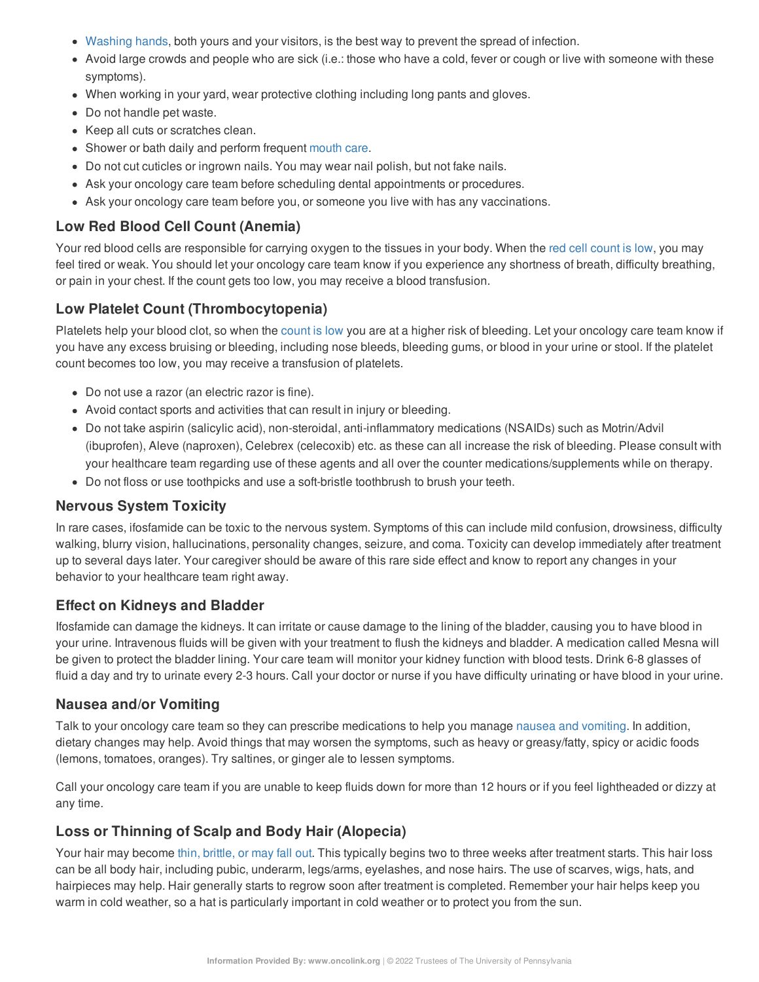- [Washing](https://www.oncolink.org/chemo-printer/20961?theme=oncolink/cancer-treatment/hospital-helpers/hand-hygiene-hand-washing) hands, both yours and your visitors, is the best way to prevent the spread of infection.
- Avoid large crowds and people who are sick (i.e.: those who have a cold, fever or cough or live with someone with these symptoms).
- When working in your yard, wear protective clothing including long pants and gloves.
- Do not handle pet waste.
- Keep all cuts or scratches clean.
- Shower or bath daily and perform frequent [mouth](https://www.oncolink.org/chemo-printer/20961?theme=oncolink/support/side-effects/gastrointestinal-side-effects/mucositis/mucositis-mouth-sores-oral-care-tip-sheet) care.
- Do not cut cuticles or ingrown nails. You may wear nail polish, but not fake nails.
- Ask your oncology care team before scheduling dental appointments or procedures.
- Ask your oncology care team before you, or someone you live with has any vaccinations.

### **Low Red Blood Cell Count (Anemia)**

Your red blood cells are responsible for carrying oxygen to the tissues in your body. When the red cell [count](https://www.oncolink.org/chemo-printer/20961?theme=oncolink/support/side-effects/low-blood-counts/low-red-blood-cell-count-anemia) is low, you may feel tired or weak. You should let your oncology care team know if you experience any shortness of breath, difficulty breathing, or pain in your chest. If the count gets too low, you may receive a blood transfusion.

### **Low Platelet Count (Thrombocytopenia)**

Platelets help your blood clot, so when the [count](https://www.oncolink.org/chemo-printer/20961?theme=oncolink/support/side-effects/low-blood-counts/low-platelet-count-thrombocytopenia) is low you are at a higher risk of bleeding. Let your oncology care team know if you have any excess bruising or bleeding, including nose bleeds, bleeding gums, or blood in your urine or stool. If the platelet count becomes too low, you may receive a transfusion of platelets.

- Do not use a razor (an electric razor is fine).
- Avoid contact sports and activities that can result in injury or bleeding.
- Do not take aspirin (salicylic acid), non-steroidal, anti-inflammatory medications (NSAIDs) such as Motrin/Advil (ibuprofen), Aleve (naproxen), Celebrex (celecoxib) etc. as these can all increase the risk of bleeding. Please consult with your healthcare team regarding use of these agents and all over the counter medications/supplements while on therapy.
- Do not floss or use toothpicks and use a soft-bristle toothbrush to brush your teeth.

#### **Nervous System Toxicity**

In rare cases, ifosfamide can be toxic to the nervous system. Symptoms of this can include mild confusion, drowsiness, difficulty walking, blurry vision, hallucinations, personality changes, seizure, and coma. Toxicity can develop immediately after treatment up to several days later. Your caregiver should be aware of this rare side effect and know to report any changes in your behavior to your healthcare team right away.

#### **Effect on Kidneys and Bladder**

Ifosfamide can damage the kidneys. It can irritate or cause damage to the lining of the bladder, causing you to have blood in your urine. Intravenous fluids will be given with your treatment to flush the kidneys and bladder. A medication called Mesna will be given to protect the bladder lining. Your care team will monitor your kidney function with blood tests. Drink 6-8 glasses of fluid a day and try to urinate every 2-3 hours. Call your doctor or nurse if you have difficulty urinating or have blood in your urine.

#### **Nausea and/or Vomiting**

Talk to your oncology care team so they can prescribe medications to help you manage nausea and [vomiting](https://www.oncolink.org/chemo-printer/20961?theme=oncolink/support/side-effects/gastrointestinal-side-effects/nausea-and-vomiting). In addition, dietary changes may help. Avoid things that may worsen the symptoms, such as heavy or greasy/fatty, spicy or acidic foods (lemons, tomatoes, oranges). Try saltines, or ginger ale to lessen symptoms.

Call your oncology care team if you are unable to keep fluids down for more than 12 hours or if you feel lightheaded or dizzy at any time.

### **Loss or Thinning of Scalp and Body Hair (Alopecia)**

Your hair may become thin, [brittle,](https://www.oncolink.org/chemo-printer/20961?theme=oncolink/support/side-effects/skin-hair-nail-side-effects/hair-loss-alopecia-from-chemotherapy) or may fall out. This typically begins two to three weeks after treatment starts. This hair loss can be all body hair, including pubic, underarm, legs/arms, eyelashes, and nose hairs. The use of scarves, wigs, hats, and hairpieces may help. Hair generally starts to regrow soon after treatment is completed. Remember your hair helps keep you warm in cold weather, so a hat is particularly important in cold weather or to protect you from the sun.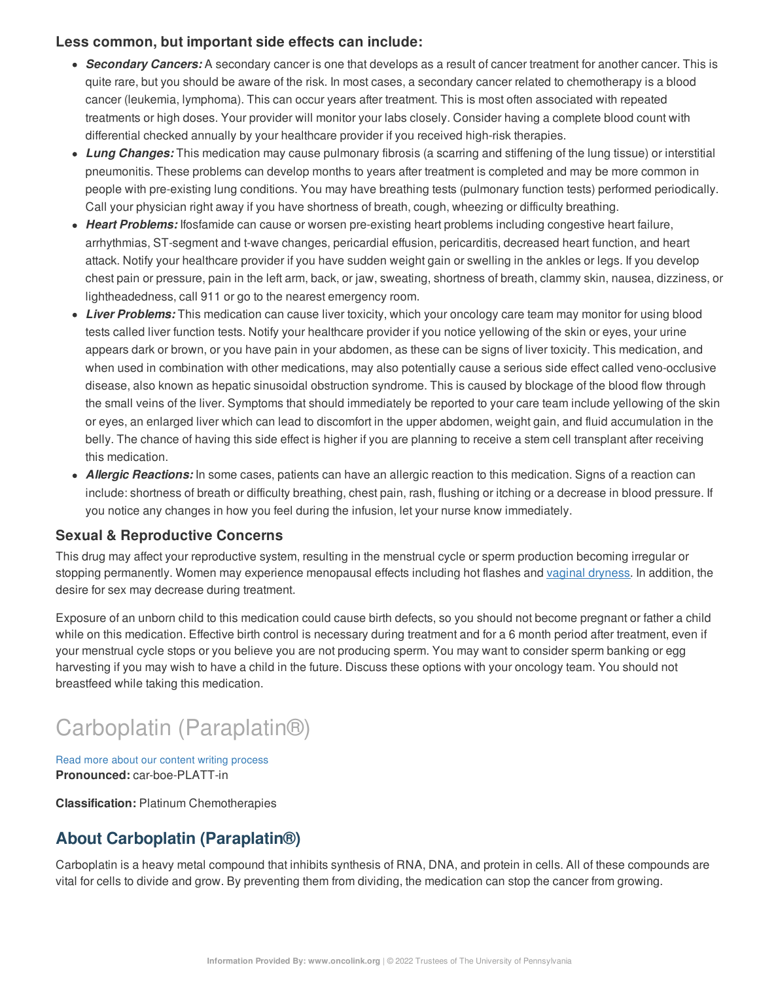### **Less common, but important side effects can include:**

- *Secondary Cancers:* A secondary cancer is one that develops as a result of cancer treatment for another cancer. This is quite rare, but you should be aware of the risk. In most cases, a secondary cancer related to chemotherapy is a blood cancer (leukemia, lymphoma). This can occur years after treatment. This is most often associated with repeated treatments or high doses. Your provider will monitor your labs closely. Consider having a complete blood count with differential checked annually by your healthcare provider if you received high-risk therapies.
- *Lung Changes:* This medication may cause pulmonary fibrosis (a scarring and stiffening of the lung tissue) or interstitial pneumonitis. These problems can develop months to years after treatment is completed and may be more common in people with pre-existing lung conditions. You may have breathing tests (pulmonary function tests) performed periodically. Call your physician right away if you have shortness of breath, cough, wheezing or difficulty breathing.
- *Heart Problems:* Ifosfamide can cause or worsen pre-existing heart problems including congestive heart failure, arrhythmias, ST-segment and t-wave changes, pericardial effusion, pericarditis, decreased heart function, and heart attack. Notify your healthcare provider if you have sudden weight gain or swelling in the ankles or legs. If you develop chest pain or pressure, pain in the left arm, back, or jaw, sweating, shortness of breath, clammy skin, nausea, dizziness, or lightheadedness, call 911 or go to the nearest emergency room.
- *Liver Problems:* This medication can cause liver toxicity, which your oncology care team may monitor for using blood tests called liver function tests. Notify your healthcare provider if you notice yellowing of the skin or eyes, your urine appears dark or brown, or you have pain in your abdomen, as these can be signs of liver toxicity. This medication, and when used in combination with other medications, may also potentially cause a serious side effect called veno-occlusive disease, also known as hepatic sinusoidal obstruction syndrome. This is caused by blockage of the blood flow through the small veins of the liver. Symptoms that should immediately be reported to your care team include yellowing of the skin or eyes, an enlarged liver which can lead to discomfort in the upper abdomen, weight gain, and fluid accumulation in the belly. The chance of having this side effect is higher if you are planning to receive a stem cell transplant after receiving this medication.
- *Allergic Reactions:* In some cases, patients can have an allergic reaction to this medication. Signs of a reaction can include: shortness of breath or difficulty breathing, chest pain, rash, flushing or itching or a decrease in blood pressure. If you notice any changes in how you feel during the infusion, let your nurse know immediately.

# **Sexual & Reproductive Concerns**

This drug may affect your reproductive system, resulting in the menstrual cycle or sperm production becoming irregular or stopping permanently. Women may experience menopausal effects including hot flashes and vaginal [dryness](https://www.oncolink.org/chemo-printer/20961?theme=oncolink/support/sexuality-fertility/sexuality/vaginal-dryness-and-painful-intercourse). In addition, the desire for sex may decrease during treatment.

Exposure of an unborn child to this medication could cause birth defects, so you should not become pregnant or father a child while on this medication. Effective birth control is necessary during treatment and for a 6 month period after treatment, even if your menstrual cycle stops or you believe you are not producing sperm. You may want to consider sperm banking or egg harvesting if you may wish to have a child in the future. Discuss these options with your oncology team. You should not breastfeed while taking this medication.

# Carboplatin (Paraplatin®)

Read more about our content writing [process](https://www.oncolink.org/chemo-printer/20961?theme=oncolink/about/content) **Pronounced:** car-boe-PLATT-in

**Classification:** Platinum Chemotherapies

# **About Carboplatin (Paraplatin®)**

Carboplatin is a heavy metal compound that inhibits synthesis of RNA, DNA, and protein in cells. All of these compounds are vital for cells to divide and grow. By preventing them from dividing, the medication can stop the cancer from growing.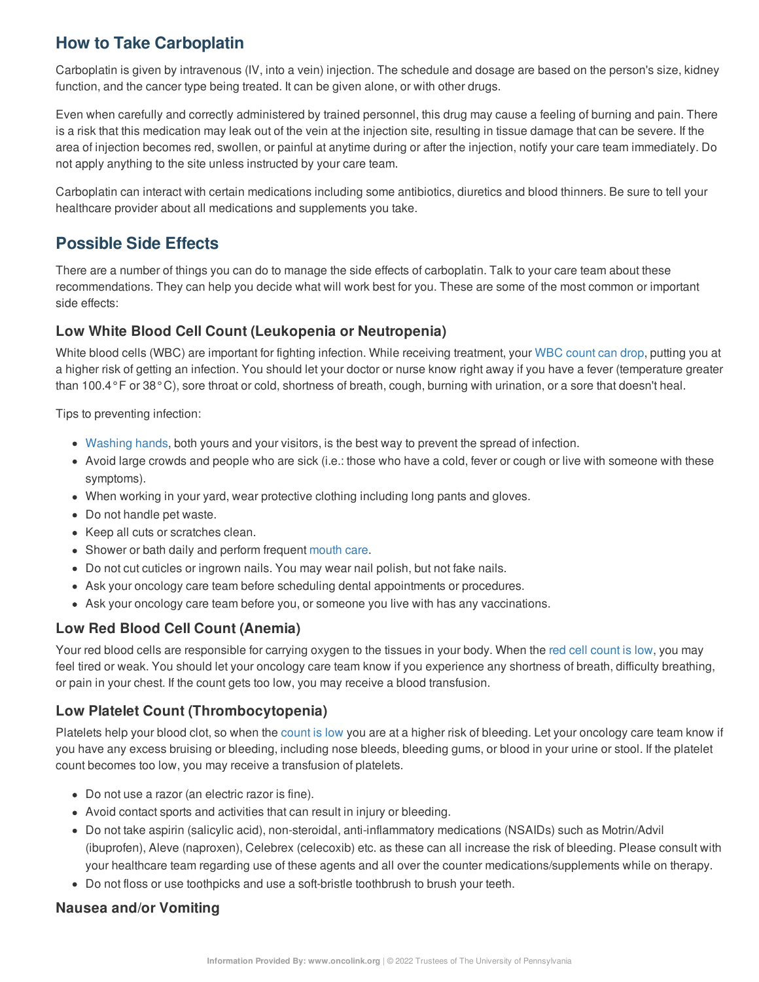# **How to Take Carboplatin**

Carboplatin is given by intravenous (IV, into a vein) injection. The schedule and dosage are based on the person's size, kidney function, and the cancer type being treated. It can be given alone, or with other drugs.

Even when carefully and correctly administered by trained personnel, this drug may cause a feeling of burning and pain. There is a risk that this medication may leak out of the vein at the injection site, resulting in tissue damage that can be severe. If the area of injection becomes red, swollen, or painful at anytime during or after the injection, notify your care team immediately. Do not apply anything to the site unless instructed by your care team.

Carboplatin can interact with certain medications including some antibiotics, diuretics and blood thinners. Be sure to tell your healthcare provider about all medications and supplements you take.

# **Possible Side Effects**

There are a number of things you can do to manage the side effects of carboplatin. Talk to your care team about these recommendations. They can help you decide what will work best for you. These are some of the most common or important side effects:

# **Low White Blood Cell Count (Leukopenia or Neutropenia)**

White blood cells (WBC) are important for fighting infection. While receiving treatment, your WBC [count](https://www.oncolink.org/chemo-printer/20961?theme=oncolink/support/side-effects/low-blood-counts/neutropenia) can drop, putting you at a higher risk of getting an infection. You should let your doctor or nurse know right away if you have a fever (temperature greater than 100.4°F or 38°C), sore throat or cold, shortness of breath, cough, burning with urination, or a sore that doesn't heal.

Tips to preventing infection:

- [Washing](https://www.oncolink.org/chemo-printer/20961?theme=oncolink/cancer-treatment/hospital-helpers/hand-hygiene-hand-washing) hands, both yours and your visitors, is the best way to prevent the spread of infection.
- Avoid large crowds and people who are sick (i.e.: those who have a cold, fever or cough or live with someone with these symptoms).
- When working in your yard, wear protective clothing including long pants and gloves.
- Do not handle pet waste.
- Keep all cuts or scratches clean.
- Shower or bath daily and perform frequent [mouth](https://www.oncolink.org/chemo-printer/20961?theme=oncolink/support/side-effects/gastrointestinal-side-effects/mucositis/mucositis-mouth-sores-oral-care-tip-sheet) care.
- Do not cut cuticles or ingrown nails. You may wear nail polish, but not fake nails.
- Ask your oncology care team before scheduling dental appointments or procedures.
- Ask your oncology care team before you, or someone you live with has any vaccinations.

# **Low Red Blood Cell Count (Anemia)**

Your red blood cells are responsible for carrying oxygen to the tissues in your body. When the red cell [count](https://www.oncolink.org/chemo-printer/20961?theme=oncolink/support/side-effects/low-blood-counts/low-red-blood-cell-count-anemia) is low, you may feel tired or weak. You should let your oncology care team know if you experience any shortness of breath, difficulty breathing, or pain in your chest. If the count gets too low, you may receive a blood transfusion.

# **Low Platelet Count (Thrombocytopenia)**

Platelets help your blood clot, so when the [count](https://www.oncolink.org/chemo-printer/20961?theme=oncolink/support/side-effects/low-blood-counts/low-platelet-count-thrombocytopenia) is low you are at a higher risk of bleeding. Let your oncology care team know if you have any excess bruising or bleeding, including nose bleeds, bleeding gums, or blood in your urine or stool. If the platelet count becomes too low, you may receive a transfusion of platelets.

- Do not use a razor (an electric razor is fine).
- Avoid contact sports and activities that can result in injury or bleeding.
- Do not take aspirin (salicylic acid), non-steroidal, anti-inflammatory medications (NSAIDs) such as Motrin/Advil (ibuprofen), Aleve (naproxen), Celebrex (celecoxib) etc. as these can all increase the risk of bleeding. Please consult with your healthcare team regarding use of these agents and all over the counter medications/supplements while on therapy.
- Do not floss or use toothpicks and use a soft-bristle toothbrush to brush your teeth.

# **Nausea and/or Vomiting**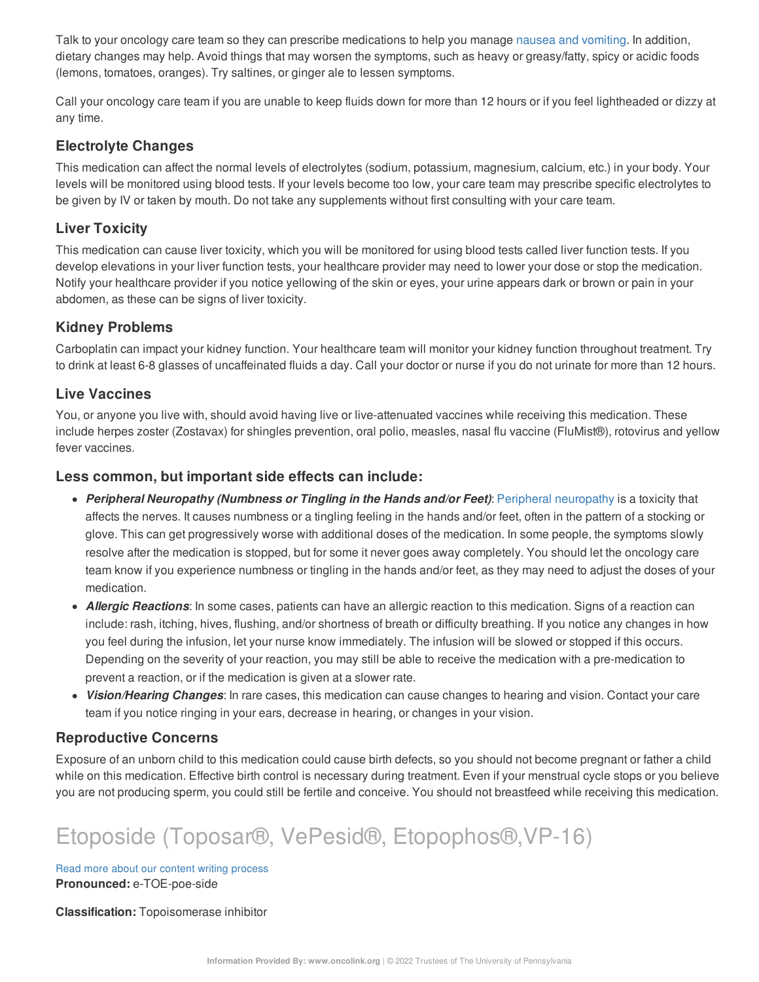Talk to your oncology care team so they can prescribe medications to help you manage nausea and [vomiting](https://www.oncolink.org/chemo-printer/20961?theme=oncolink/support/side-effects/gastrointestinal-side-effects/nausea-and-vomiting). In addition, dietary changes may help. Avoid things that may worsen the symptoms, such as heavy or greasy/fatty, spicy or acidic foods (lemons, tomatoes, oranges). Try saltines, or ginger ale to lessen symptoms.

Call your oncology care team if you are unable to keep fluids down for more than 12 hours or if you feel lightheaded or dizzy at any time.

#### **Electrolyte Changes**

This medication can affect the normal levels of electrolytes (sodium, potassium, magnesium, calcium, etc.) in your body. Your levels will be monitored using blood tests. If your levels become too low, your care team may prescribe specific electrolytes to be given by IV or taken by mouth. Do not take any supplements without first consulting with your care team.

### **Liver Toxicity**

This medication can cause liver toxicity, which you will be monitored for using blood tests called liver function tests. If you develop elevations in your liver function tests, your healthcare provider may need to lower your dose or stop the medication. Notify your healthcare provider if you notice yellowing of the skin or eyes, your urine appears dark or brown or pain in your abdomen, as these can be signs of liver toxicity.

#### **Kidney Problems**

Carboplatin can impact your kidney function. Your healthcare team will monitor your kidney function throughout treatment. Try to drink at least 6-8 glasses of uncaffeinated fluids a day. Call your doctor or nurse if you do not urinate for more than 12 hours.

### **Live Vaccines**

You, or anyone you live with, should avoid having live or live-attenuated vaccines while receiving this medication. These include herpes zoster (Zostavax) for shingles prevention, oral polio, measles, nasal flu vaccine (FluMist®), rotovirus and yellow fever vaccines.

#### **Less common, but important side effects can include:**

- *Peripheral Neuropathy (Numbness or Tingling in the Hands and/or Feet)*: Peripheral [neuropathy](https://www.oncolink.org/chemo-printer/20961?theme=oncolink/support/side-effects/neurological-side-effects/peripheral-neuropathy-nerve-damage) is a toxicity that affects the nerves. It causes numbness or a tingling feeling in the hands and/or feet, often in the pattern of a stocking or glove. This can get progressively worse with additional doses of the medication. In some people, the symptoms slowly resolve after the medication is stopped, but for some it never goes away completely. You should let the oncology care team know if you experience numbness or tingling in the hands and/or feet, as they may need to adjust the doses of your medication.
- *Allergic Reactions*: In some cases, patients can have an allergic reaction to this medication. Signs of a reaction can include: rash, itching, hives, flushing, and/or shortness of breath or difficulty breathing. If you notice any changes in how you feel during the infusion, let your nurse know immediately. The infusion will be slowed or stopped if this occurs. Depending on the severity of your reaction, you may still be able to receive the medication with a pre-medication to prevent a reaction, or if the medication is given at a slower rate.
- *Vision/Hearing Changes*: In rare cases, this medication can cause changes to hearing and vision. Contact your care team if you notice ringing in your ears, decrease in hearing, or changes in your vision.

#### **Reproductive Concerns**

Exposure of an unborn child to this medication could cause birth defects, so you should not become pregnant or father a child while on this medication. Effective birth control is necessary during treatment. Even if your menstrual cycle stops or you believe you are not producing sperm, you could still be fertile and conceive. You should not breastfeed while receiving this medication.

# Etoposide (Toposar®, VePesid®, Etopophos®,VP-16)

Read more about our content writing [process](https://www.oncolink.org/chemo-printer/20961?theme=oncolink/about/content) **Pronounced:** e-TOE-poe-side

**Classification:** Topoisomerase inhibitor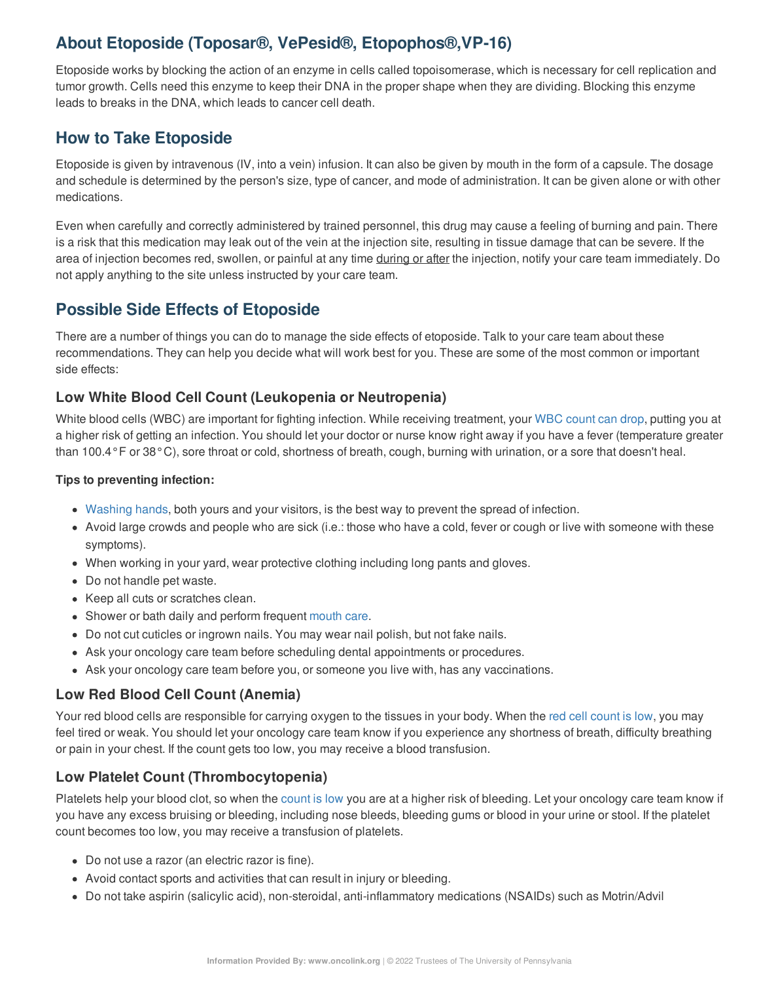# **About Etoposide (Toposar®, VePesid®, Etopophos®,VP-16)**

Etoposide works by blocking the action of an enzyme in cells called topoisomerase, which is necessary for cell replication and tumor growth. Cells need this enzyme to keep their DNA in the proper shape when they are dividing. Blocking this enzyme leads to breaks in the DNA, which leads to cancer cell death.

# **How to Take Etoposide**

Etoposide is given by intravenous (IV, into a vein) infusion. It can also be given by mouth in the form of a capsule. The dosage and schedule is determined by the person's size, type of cancer, and mode of administration. It can be given alone or with other medications.

Even when carefully and correctly administered by trained personnel, this drug may cause a feeling of burning and pain. There is a risk that this medication may leak out of the vein at the injection site, resulting in tissue damage that can be severe. If the area of injection becomes red, swollen, or painful at any time during or after the injection, notify your care team immediately. Do not apply anything to the site unless instructed by your care team.

# **Possible Side Effects of Etoposide**

There are a number of things you can do to manage the side effects of etoposide. Talk to your care team about these recommendations. They can help you decide what will work best for you. These are some of the most common or important side effects:

# **Low White Blood Cell Count (Leukopenia or Neutropenia)**

White blood cells (WBC) are important for fighting infection. While receiving treatment, your WBC [count](https://www.oncolink.org/chemo-printer/20961?theme=oncolink/support/side-effects/low-blood-counts/neutropenia) can drop, putting you at a higher risk of getting an infection. You should let your doctor or nurse know right away if you have a fever (temperature greater than 100.4°F or 38°C), sore throat or cold, shortness of breath, cough, burning with urination, or a sore that doesn't heal.

#### **Tips to preventing infection:**

- [Washing](https://www.oncolink.org/chemo-printer/20961?theme=oncolink/cancer-treatment/hospital-helpers/hand-hygiene-hand-washing) hands, both yours and your visitors, is the best way to prevent the spread of infection.
- Avoid large crowds and people who are sick (i.e.: those who have a cold, fever or cough or live with someone with these symptoms).
- When working in your yard, wear protective clothing including long pants and gloves.
- Do not handle pet waste.
- Keep all cuts or scratches clean.
- Shower or bath daily and perform frequent [mouth](https://www.oncolink.org/chemo-printer/20961?theme=oncolink/support/side-effects/gastrointestinal-side-effects/mucositis/mucositis-mouth-sores-oral-care-tip-sheet) care.
- Do not cut cuticles or ingrown nails. You may wear nail polish, but not fake nails.
- Ask your oncology care team before scheduling dental appointments or procedures.
- Ask your oncology care team before you, or someone you live with, has any vaccinations.

# **Low Red Blood Cell Count (Anemia)**

Your red blood cells are responsible for carrying oxygen to the tissues in your body. When the red cell [count](https://www.oncolink.org/chemo-printer/20961?theme=oncolink/support/side-effects/low-blood-counts/low-red-blood-cell-count-anemia) is low, you may feel tired or weak. You should let your oncology care team know if you experience any shortness of breath, difficulty breathing or pain in your chest. If the count gets too low, you may receive a blood transfusion.

# **Low Platelet Count (Thrombocytopenia)**

Platelets help your blood clot, so when the [count](https://www.oncolink.org/chemo-printer/20961?theme=oncolink/support/side-effects/low-blood-counts/low-platelet-count-thrombocytopenia) is low you are at a higher risk of bleeding. Let your oncology care team know if you have any excess bruising or bleeding, including nose bleeds, bleeding gums or blood in your urine or stool. If the platelet count becomes too low, you may receive a transfusion of platelets.

- Do not use a razor (an electric razor is fine).
- Avoid contact sports and activities that can result in injury or bleeding.
- Do not take aspirin (salicylic acid), non-steroidal, anti-inflammatory medications (NSAIDs) such as Motrin/Advil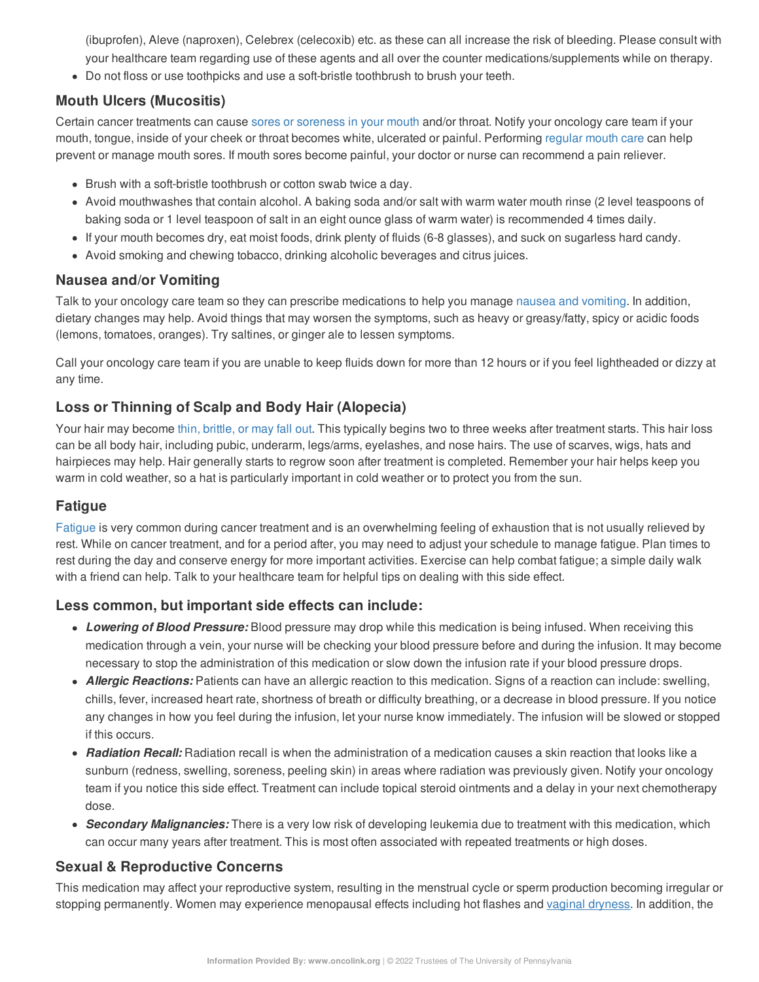(ibuprofen), Aleve (naproxen), Celebrex (celecoxib) etc. as these can all increase the risk of bleeding. Please consult with your healthcare team regarding use of these agents and all over the counter medications/supplements while on therapy.

Do not floss or use toothpicks and use a soft-bristle toothbrush to brush your teeth.

# **Mouth Ulcers (Mucositis)**

Certain cancer treatments can cause sores or [soreness](https://www.oncolink.org/chemo-printer/20961?theme=oncolink/support/side-effects/gastrointestinal-side-effects/mucositis/all-about-mucositis) in your mouth and/or throat. Notify your oncology care team if your mouth, tongue, inside of your cheek or throat becomes white, ulcerated or painful. Performing [regular](https://www.oncolink.org/chemo-printer/20961?theme=oncolink/support/side-effects/gastrointestinal-side-effects/mucositis/mucositis-mouth-sores-oral-care-tip-sheet) mouth care can help prevent or manage mouth sores. If mouth sores become painful, your doctor or nurse can recommend a pain reliever.

- Brush with a soft-bristle toothbrush or cotton swab twice a day.
- Avoid mouthwashes that contain alcohol. A baking soda and/or salt with warm water mouth rinse (2 level teaspoons of baking soda or 1 level teaspoon of salt in an eight ounce glass of warm water) is recommended 4 times daily.
- If your mouth becomes dry, eat moist foods, drink plenty of fluids (6-8 glasses), and suck on sugarless hard candy.
- Avoid smoking and chewing tobacco, drinking alcoholic beverages and citrus juices.

### **Nausea and/or Vomiting**

Talk to your oncology care team so they can prescribe medications to help you manage nausea and [vomiting](https://www.oncolink.org/chemo-printer/20961?theme=oncolink/support/side-effects/gastrointestinal-side-effects/nausea-and-vomiting). In addition, dietary changes may help. Avoid things that may worsen the symptoms, such as heavy or greasy/fatty, spicy or acidic foods (lemons, tomatoes, oranges). Try saltines, or ginger ale to lessen symptoms.

Call your oncology care team if you are unable to keep fluids down for more than 12 hours or if you feel lightheaded or dizzy at any time.

# **Loss or Thinning of Scalp and Body Hair (Alopecia)**

Your hair may become thin, [brittle,](https://www.oncolink.org/chemo-printer/20961?theme=oncolink/support/side-effects/skin-hair-nail-side-effects/hair-loss-alopecia-from-chemotherapy) or may fall out. This typically begins two to three weeks after treatment starts. This hair loss can be all body hair, including pubic, underarm, legs/arms, eyelashes, and nose hairs. The use of scarves, wigs, hats and hairpieces may help. Hair generally starts to regrow soon after treatment is completed. Remember your hair helps keep you warm in cold weather, so a hat is particularly important in cold weather or to protect you from the sun.

### **Fatigue**

[Fatigue](https://www.oncolink.org/chemo-printer/20961?theme=oncolink/support/side-effects/other-side-effects/fatigue-and-cancer/managing-fatigue) is very common during cancer treatment and is an overwhelming feeling of exhaustion that is not usually relieved by rest. While on cancer treatment, and for a period after, you may need to adjust your schedule to manage fatigue. Plan times to rest during the day and conserve energy for more important activities. Exercise can help combat fatigue; a simple daily walk with a friend can help. Talk to your healthcare team for helpful tips on dealing with this side effect.

### **Less common, but important side effects can include:**

- *Lowering of Blood Pressure:* Blood pressure may drop while this medication is being infused. When receiving this medication through a vein, your nurse will be checking your blood pressure before and during the infusion. It may become necessary to stop the administration of this medication or slow down the infusion rate if your blood pressure drops.
- *Allergic Reactions:* Patients can have an allergic reaction to this medication. Signs of a reaction can include: swelling, chills, fever, increased heart rate, shortness of breath or difficulty breathing, or a decrease in blood pressure. If you notice any changes in how you feel during the infusion, let your nurse know immediately. The infusion will be slowed or stopped if this occurs.
- *Radiation Recall:* Radiation recall is when the administration of a medication causes a skin reaction that looks like a sunburn (redness, swelling, soreness, peeling skin) in areas where radiation was previously given. Notify your oncology team if you notice this side effect. Treatment can include topical steroid ointments and a delay in your next chemotherapy dose.
- *Secondary Malignancies:* There is a very low risk of developing leukemia due to treatment with this medication, which can occur many years after treatment. This is most often associated with repeated treatments or high doses.

# **Sexual & Reproductive Concerns**

This medication may affect your reproductive system, resulting in the menstrual cycle or sperm production becoming irregular or stopping permanently. Women may experience menopausal effects including hot flashes and vaginal [dryness](https://www.oncolink.org/chemo-printer/20961?theme=oncolink/support/sexuality-fertility/sexuality/vaginal-dryness-and-painful-intercourse). In addition, the